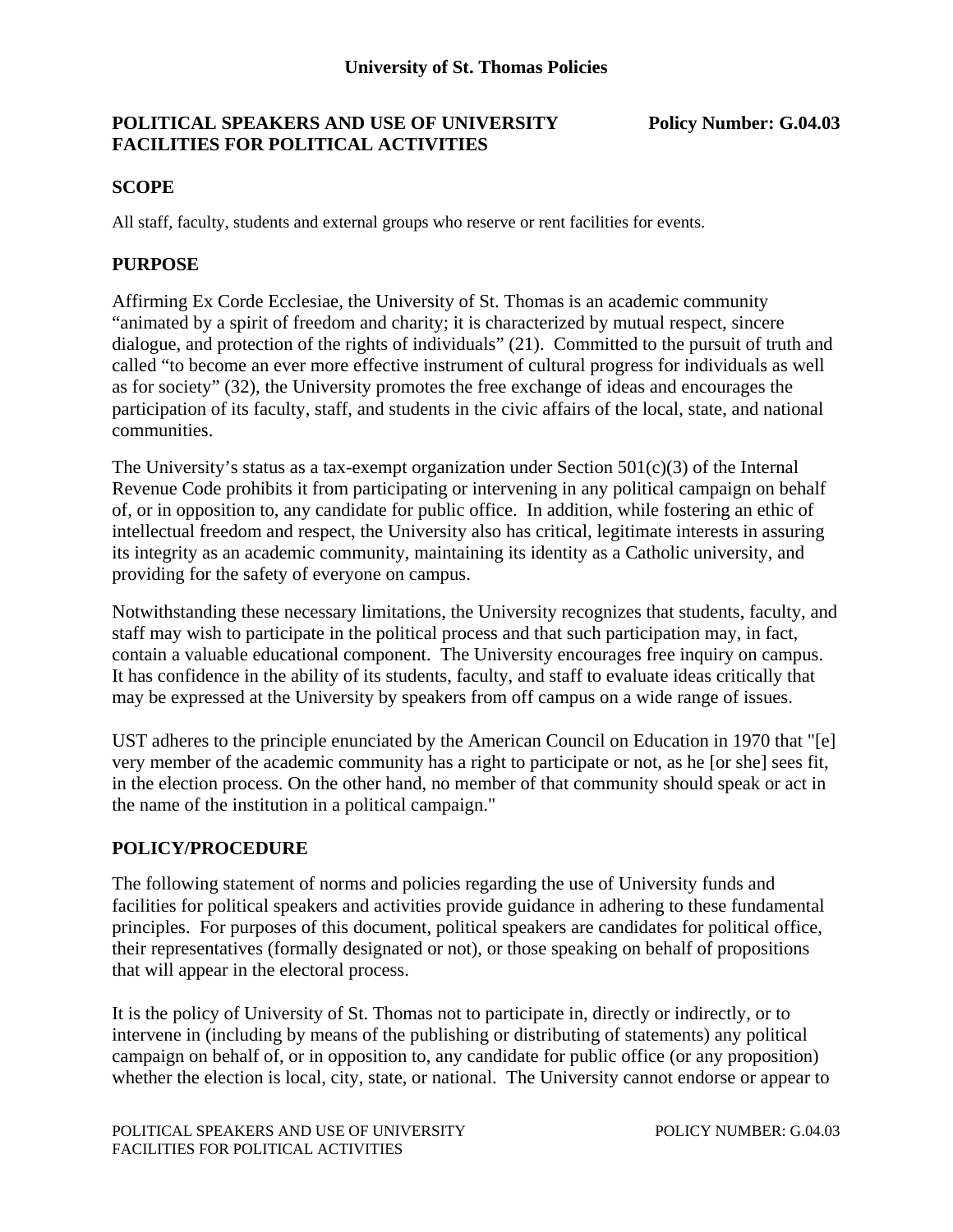# **POLITICAL SPEAKERS AND USE OF UNIVERSITY Policy Number: G.04.03 FACILITIES FOR POLITICAL ACTIVITIES**

## **SCOPE**

All staff, faculty, students and external groups who reserve or rent facilities for events.

## **PURPOSE**

Affirming Ex Corde Ecclesiae, the University of St. Thomas is an academic community "animated by a spirit of freedom and charity; it is characterized by mutual respect, sincere dialogue, and protection of the rights of individuals" (21). Committed to the pursuit of truth and called "to become an ever more effective instrument of cultural progress for individuals as well as for society" (32), the University promotes the free exchange of ideas and encourages the participation of its faculty, staff, and students in the civic affairs of the local, state, and national communities.

The University's status as a tax-exempt organization under Section  $501(c)(3)$  of the Internal Revenue Code prohibits it from participating or intervening in any political campaign on behalf of, or in opposition to, any candidate for public office. In addition, while fostering an ethic of intellectual freedom and respect, the University also has critical, legitimate interests in assuring its integrity as an academic community, maintaining its identity as a Catholic university, and providing for the safety of everyone on campus.

Notwithstanding these necessary limitations, the University recognizes that students, faculty, and staff may wish to participate in the political process and that such participation may, in fact, contain a valuable educational component. The University encourages free inquiry on campus. It has confidence in the ability of its students, faculty, and staff to evaluate ideas critically that may be expressed at the University by speakers from off campus on a wide range of issues.

UST adheres to the principle enunciated by the American Council on Education in 1970 that "[e] very member of the academic community has a right to participate or not, as he [or she] sees fit, in the election process. On the other hand, no member of that community should speak or act in the name of the institution in a political campaign."

# **POLICY/PROCEDURE**

The following statement of norms and policies regarding the use of University funds and facilities for political speakers and activities provide guidance in adhering to these fundamental principles. For purposes of this document, political speakers are candidates for political office, their representatives (formally designated or not), or those speaking on behalf of propositions that will appear in the electoral process.

It is the policy of University of St. Thomas not to participate in, directly or indirectly, or to intervene in (including by means of the publishing or distributing of statements) any political campaign on behalf of, or in opposition to, any candidate for public office (or any proposition) whether the election is local, city, state, or national. The University cannot endorse or appear to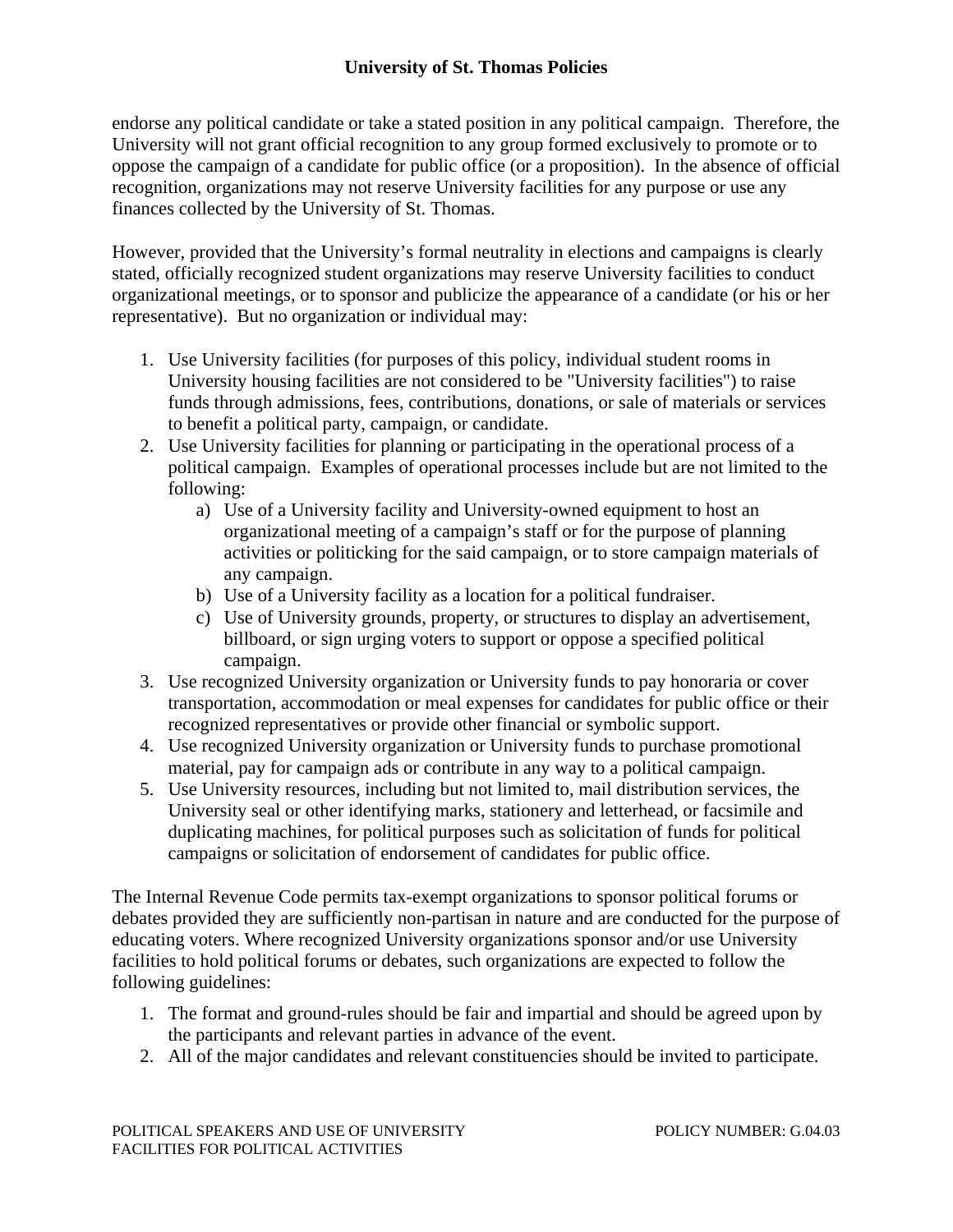# **University of St. Thomas Policies**

endorse any political candidate or take a stated position in any political campaign. Therefore, the University will not grant official recognition to any group formed exclusively to promote or to oppose the campaign of a candidate for public office (or a proposition). In the absence of official recognition, organizations may not reserve University facilities for any purpose or use any finances collected by the University of St. Thomas.

However, provided that the University's formal neutrality in elections and campaigns is clearly stated, officially recognized student organizations may reserve University facilities to conduct organizational meetings, or to sponsor and publicize the appearance of a candidate (or his or her representative). But no organization or individual may:

- 1. Use University facilities (for purposes of this policy, individual student rooms in University housing facilities are not considered to be "University facilities") to raise funds through admissions, fees, contributions, donations, or sale of materials or services to benefit a political party, campaign, or candidate.
- 2. Use University facilities for planning or participating in the operational process of a political campaign. Examples of operational processes include but are not limited to the following:
	- a) Use of a University facility and University-owned equipment to host an organizational meeting of a campaign's staff or for the purpose of planning activities or politicking for the said campaign, or to store campaign materials of any campaign.
	- b) Use of a University facility as a location for a political fundraiser.
	- c) Use of University grounds, property, or structures to display an advertisement, billboard, or sign urging voters to support or oppose a specified political campaign.
- 3. Use recognized University organization or University funds to pay honoraria or cover transportation, accommodation or meal expenses for candidates for public office or their recognized representatives or provide other financial or symbolic support.
- 4. Use recognized University organization or University funds to purchase promotional material, pay for campaign ads or contribute in any way to a political campaign.
- 5. Use University resources, including but not limited to, mail distribution services, the University seal or other identifying marks, stationery and letterhead, or facsimile and duplicating machines, for political purposes such as solicitation of funds for political campaigns or solicitation of endorsement of candidates for public office.

The Internal Revenue Code permits tax-exempt organizations to sponsor political forums or debates provided they are sufficiently non-partisan in nature and are conducted for the purpose of educating voters. Where recognized University organizations sponsor and/or use University facilities to hold political forums or debates, such organizations are expected to follow the following guidelines:

- 1. The format and ground-rules should be fair and impartial and should be agreed upon by the participants and relevant parties in advance of the event.
- 2. All of the major candidates and relevant constituencies should be invited to participate.